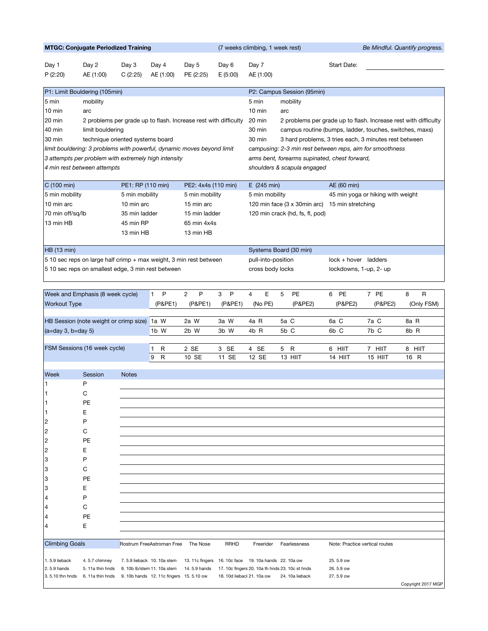| <b>MTGC: Conjugate Periodized Training</b>                                |                                        |                   |                                          |                                                                    |                                                                           | (7 weeks climbing, 1 week rest)<br>Be Mindful. Quantify progress. |                                                          |                                |         |                    |  |
|---------------------------------------------------------------------------|----------------------------------------|-------------------|------------------------------------------|--------------------------------------------------------------------|---------------------------------------------------------------------------|-------------------------------------------------------------------|----------------------------------------------------------|--------------------------------|---------|--------------------|--|
| Day 1<br>P(2:20)                                                          | Day 2<br>AE (1:00)                     | Day 3<br>C(2:25)  | Day 4<br>AE (1:00)                       | Day 5<br>PE (2:25)                                                 | Day 6<br>E(5:00)                                                          | Day 7<br>AE (1:00)                                                |                                                          | Start Date:                    |         |                    |  |
|                                                                           | P1: Limit Bouldering (105min)          |                   |                                          |                                                                    |                                                                           |                                                                   | P2: Campus Session (95min)                               |                                |         |                    |  |
| 5 min                                                                     | mobility                               |                   |                                          |                                                                    |                                                                           | 5 min                                                             | mobility                                                 |                                |         |                    |  |
| $10 \text{ min}$                                                          | arc                                    |                   |                                          |                                                                    |                                                                           | $10 \text{ min}$                                                  | arc                                                      |                                |         |                    |  |
| 20 min<br>2 problems per grade up to flash. Increase rest with difficulty |                                        |                   |                                          |                                                                    | 20 min<br>2 problems per grade up to flash. Increase rest with difficulty |                                                                   |                                                          |                                |         |                    |  |
| 40 min                                                                    | limit bouldering                       |                   |                                          |                                                                    |                                                                           | 30 min<br>campus routine (bumps, ladder, touches, switches, maxs) |                                                          |                                |         |                    |  |
| 30 min<br>technique oriented systems board                                |                                        |                   |                                          |                                                                    |                                                                           | 30 min                                                            | 3 hard problems, 3 tries each, 3 minutes rest between    |                                |         |                    |  |
| limit bouldering: 3 problems with powerful, dynamic moves beyond limit    |                                        |                   |                                          |                                                                    |                                                                           |                                                                   | campusing: 2-3 min rest between reps, aim for smoothness |                                |         |                    |  |
| 3 attempts per problem with extremely high intensity                      |                                        |                   |                                          |                                                                    |                                                                           |                                                                   | arms bent, forearms supinated, chest forward,            |                                |         |                    |  |
| 4 min rest between attempts<br>shoulders & scapula engaged                |                                        |                   |                                          |                                                                    |                                                                           |                                                                   |                                                          |                                |         |                    |  |
| C(100 min)                                                                |                                        | PE1: RP (110 min) |                                          | PE2: 4x4s (110 min)                                                |                                                                           | E(245 min)                                                        |                                                          | AE (60 min)                    |         |                    |  |
| 5 min mobility<br>5 min mobility                                          |                                        | 5 min mobility    |                                          |                                                                    | 5 min mobility                                                            |                                                                   | 45 min yoga or hiking with weight                        |                                |         |                    |  |
| 10 min arc<br>10 min arc                                                  |                                        |                   | 15 min arc                               |                                                                    | 120 min face (3 x 30min arc)                                              |                                                                   | 15 min stretching                                        |                                |         |                    |  |
| 70 min off/sq/lb                                                          |                                        | 35 min ladder     |                                          | 15 min ladder                                                      |                                                                           | 120 min crack (hd, fs, fl, pod)                                   |                                                          |                                |         |                    |  |
| 45 min RP<br>13 min HB                                                    |                                        |                   |                                          | 65 min 4x4s                                                        |                                                                           |                                                                   |                                                          |                                |         |                    |  |
|                                                                           |                                        | 13 min HB         |                                          | 13 min HB                                                          |                                                                           |                                                                   |                                                          |                                |         |                    |  |
| <b>HB</b> (13 min)                                                        |                                        |                   |                                          |                                                                    |                                                                           |                                                                   | Systems Board (30 min)                                   |                                |         |                    |  |
|                                                                           |                                        |                   |                                          | 5 10 sec reps on large half crimp + max weight, 3 min rest between |                                                                           | pull-into-position                                                |                                                          | lock + hover ladders           |         |                    |  |
| 5 10 sec reps on smallest edge, 3 min rest between                        |                                        |                   |                                          |                                                                    |                                                                           | cross body locks                                                  |                                                          | lockdowns, 1-up, 2- up         |         |                    |  |
|                                                                           |                                        |                   |                                          |                                                                    |                                                                           |                                                                   |                                                          |                                |         |                    |  |
|                                                                           | Week and Emphasis (8 week cycle)       |                   | P<br>$\mathbf{1}$                        | 2<br>P                                                             | 3<br>P                                                                    | E<br>4                                                            | PE<br>5                                                  | PE<br>6                        | 7 PE    | 8<br>R             |  |
| <b>Workout Type</b>                                                       |                                        |                   | (P&PE1)                                  | (P&PE1)                                                            | (P&PE1)                                                                   | (No PE)                                                           | (P&PE2)                                                  | (P&PE2)                        | (P&PE2) | (Only FSM)         |  |
|                                                                           |                                        |                   |                                          |                                                                    |                                                                           |                                                                   |                                                          |                                |         |                    |  |
|                                                                           | HB Session (note weight or crimp size) |                   | la W                                     | 2a W                                                               | 3a W                                                                      | 4a R                                                              | 5a C                                                     | 6a C                           | 7a C    | 8a R               |  |
| $(a=day 3, b=day 5)$                                                      |                                        |                   | $1b$ W                                   | 2b W                                                               | 3b W                                                                      | 4b R                                                              | 5b C                                                     | 6b C                           | 7b C    | 8b R               |  |
|                                                                           |                                        |                   |                                          |                                                                    |                                                                           |                                                                   |                                                          |                                |         |                    |  |
|                                                                           | FSM Sessions (16 week cycle)           |                   | 1<br>R                                   | 2 SE                                                               | 3 SE                                                                      | 4 SE                                                              | R<br>5                                                   | 6 HIIT                         | 7 HIIT  | 8 HIIT             |  |
|                                                                           |                                        |                   | $\mathsf{R}$<br>9                        | 10 SE                                                              | 11 SE                                                                     | 12 SE                                                             | 13 HIIT                                                  | 14 HIIT                        | 15 HIIT | 16 R               |  |
| Week                                                                      | Session                                | <b>Notes</b>      |                                          |                                                                    |                                                                           |                                                                   |                                                          |                                |         |                    |  |
| 1                                                                         | P                                      |                   |                                          |                                                                    |                                                                           |                                                                   |                                                          |                                |         |                    |  |
| 1                                                                         | С                                      |                   |                                          |                                                                    |                                                                           |                                                                   |                                                          |                                |         |                    |  |
|                                                                           | PE                                     |                   |                                          |                                                                    |                                                                           |                                                                   |                                                          |                                |         |                    |  |
| 1                                                                         | Ε                                      |                   |                                          |                                                                    |                                                                           |                                                                   |                                                          |                                |         |                    |  |
| 2                                                                         | P                                      |                   |                                          |                                                                    |                                                                           |                                                                   |                                                          |                                |         |                    |  |
| 2                                                                         | C                                      |                   |                                          |                                                                    |                                                                           |                                                                   |                                                          |                                |         |                    |  |
| 2                                                                         | PE                                     |                   |                                          |                                                                    |                                                                           |                                                                   |                                                          |                                |         |                    |  |
| 2                                                                         | Ε                                      |                   |                                          |                                                                    |                                                                           |                                                                   |                                                          |                                |         |                    |  |
| 3                                                                         | P                                      |                   |                                          |                                                                    |                                                                           |                                                                   |                                                          |                                |         |                    |  |
| 3                                                                         | С                                      |                   |                                          |                                                                    |                                                                           |                                                                   |                                                          |                                |         |                    |  |
| 3                                                                         | <b>PE</b>                              |                   |                                          |                                                                    |                                                                           |                                                                   |                                                          |                                |         |                    |  |
| 3                                                                         | Ε                                      |                   |                                          |                                                                    |                                                                           |                                                                   |                                                          |                                |         |                    |  |
| 4                                                                         | P                                      |                   |                                          |                                                                    |                                                                           |                                                                   |                                                          |                                |         |                    |  |
| 4                                                                         | C                                      |                   |                                          |                                                                    |                                                                           |                                                                   |                                                          |                                |         |                    |  |
| 14                                                                        | PE                                     |                   |                                          |                                                                    |                                                                           |                                                                   |                                                          |                                |         |                    |  |
| 14                                                                        | Ε                                      |                   |                                          |                                                                    |                                                                           |                                                                   |                                                          |                                |         |                    |  |
| <b>Climbing Goals</b><br>Rostrum FreeAstroman Free<br>The Nose            |                                        |                   |                                          |                                                                    | RRHD                                                                      | Freerider                                                         | Fearlessness                                             | Note: Practice vertical routes |         |                    |  |
| 1.5.9 lieback                                                             | 4.5.7 chimney                          |                   | 7.5.9 lieback 10.10a stem                | 13.11c fingers                                                     |                                                                           | 16. 10c face 19. 10a hands 22. 10a ow                             |                                                          | 25.5.9 ow                      |         |                    |  |
| 2.5.9 hands                                                               | 5. 11a thin hnds                       |                   | 8. 10b lb/stem 11. 10a stem              | 14.5.9 hands                                                       |                                                                           |                                                                   | 17. 10c fingers 20. 10a th hnds 23. 10c st hnds          | 26.5.9 ow                      |         |                    |  |
| 3.5.10 thn hnds                                                           | 6.11a thin hnds                        |                   | 9. 10b hands 12. 11c fingers 15. 5.10 ow |                                                                    | 18. 10d liebacl 21. 10a ow                                                |                                                                   | 24. 10a lieback                                          | 27.5.9 ow                      |         |                    |  |
|                                                                           |                                        |                   |                                          |                                                                    |                                                                           |                                                                   |                                                          |                                |         | Copyright 2017 MGP |  |